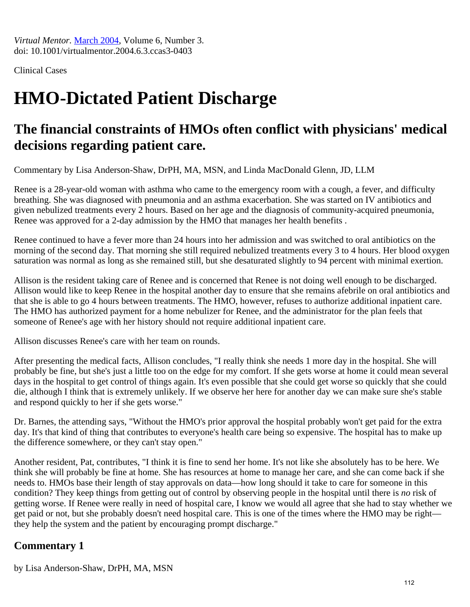*Virtual Mentor.* [March 2004](file:///2004/03/toc-0403.html), Volume 6, Number 3. doi: 10.1001/virtualmentor.2004.6.3.ccas3-0403

Clinical Cases

# **HMO-Dictated Patient Discharge**

# **The financial constraints of HMOs often conflict with physicians' medical decisions regarding patient care.**

Commentary by Lisa Anderson-Shaw, DrPH, MA, MSN, and Linda MacDonald Glenn, JD, LLM

Renee is a 28-year-old woman with asthma who came to the emergency room with a cough, a fever, and difficulty breathing. She was diagnosed with pneumonia and an asthma exacerbation. She was started on IV antibiotics and given nebulized treatments every 2 hours. Based on her age and the diagnosis of community-acquired pneumonia, Renee was approved for a 2-day admission by the HMO that manages her health benefits .

Renee continued to have a fever more than 24 hours into her admission and was switched to oral antibiotics on the morning of the second day. That morning she still required nebulized treatments every 3 to 4 hours. Her blood oxygen saturation was normal as long as she remained still, but she desaturated slightly to 94 percent with minimal exertion.

Allison is the resident taking care of Renee and is concerned that Renee is not doing well enough to be discharged. Allison would like to keep Renee in the hospital another day to ensure that she remains afebrile on oral antibiotics and that she is able to go 4 hours between treatments. The HMO, however, refuses to authorize additional inpatient care. The HMO has authorized payment for a home nebulizer for Renee, and the administrator for the plan feels that someone of Renee's age with her history should not require additional inpatient care.

Allison discusses Renee's care with her team on rounds.

After presenting the medical facts, Allison concludes, "I really think she needs 1 more day in the hospital. She will probably be fine, but she's just a little too on the edge for my comfort. If she gets worse at home it could mean several days in the hospital to get control of things again. It's even possible that she could get worse so quickly that she could die, although I think that is extremely unlikely. If we observe her here for another day we can make sure she's stable and respond quickly to her if she gets worse."

Dr. Barnes, the attending says, "Without the HMO's prior approval the hospital probably won't get paid for the extra day. It's that kind of thing that contributes to everyone's health care being so expensive. The hospital has to make up the difference somewhere, or they can't stay open."

Another resident, Pat, contributes, "I think it is fine to send her home. It's not like she absolutely has to be here. We think she will probably be fine at home. She has resources at home to manage her care, and she can come back if she needs to. HMOs base their length of stay approvals on data—how long should it take to care for someone in this condition? They keep things from getting out of control by observing people in the hospital until there is *no* risk of getting worse. If Renee were really in need of hospital care, I know we would all agree that she had to stay whether we get paid or not, but she probably doesn't need hospital care. This is one of the times where the HMO may be right they help the system and the patient by encouraging prompt discharge."

## **Commentary 1**

by Lisa Anderson-Shaw, DrPH, MA, MSN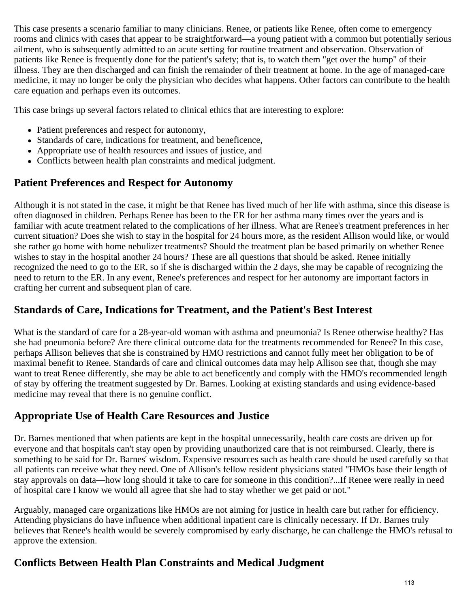This case presents a scenario familiar to many clinicians. Renee, or patients like Renee, often come to emergency rooms and clinics with cases that appear to be straightforward—a young patient with a common but potentially serious ailment, who is subsequently admitted to an acute setting for routine treatment and observation. Observation of patients like Renee is frequently done for the patient's safety; that is, to watch them "get over the hump" of their illness. They are then discharged and can finish the remainder of their treatment at home. In the age of managed-care medicine, it may no longer be only the physician who decides what happens. Other factors can contribute to the health care equation and perhaps even its outcomes.

This case brings up several factors related to clinical ethics that are interesting to explore:

- Patient preferences and respect for autonomy,
- Standards of care, indications for treatment, and beneficence,
- Appropriate use of health resources and issues of justice, and
- Conflicts between health plan constraints and medical judgment.

## **Patient Preferences and Respect for Autonomy**

Although it is not stated in the case, it might be that Renee has lived much of her life with asthma, since this disease is often diagnosed in children. Perhaps Renee has been to the ER for her asthma many times over the years and is familiar with acute treatment related to the complications of her illness. What are Renee's treatment preferences in her current situation? Does she wish to stay in the hospital for 24 hours more, as the resident Allison would like, or would she rather go home with home nebulizer treatments? Should the treatment plan be based primarily on whether Renee wishes to stay in the hospital another 24 hours? These are all questions that should be asked. Renee initially recognized the need to go to the ER, so if she is discharged within the 2 days, she may be capable of recognizing the need to return to the ER. In any event, Renee's preferences and respect for her autonomy are important factors in crafting her current and subsequent plan of care.

## **Standards of Care, Indications for Treatment, and the Patient's Best Interest**

What is the standard of care for a 28-year-old woman with asthma and pneumonia? Is Renee otherwise healthy? Has she had pneumonia before? Are there clinical outcome data for the treatments recommended for Renee? In this case, perhaps Allison believes that she is constrained by HMO restrictions and cannot fully meet her obligation to be of maximal benefit to Renee. Standards of care and clinical outcomes data may help Allison see that, though she may want to treat Renee differently, she may be able to act beneficently and comply with the HMO's recommended length of stay by offering the treatment suggested by Dr. Barnes. Looking at existing standards and using evidence-based medicine may reveal that there is no genuine conflict.

## **Appropriate Use of Health Care Resources and Justice**

Dr. Barnes mentioned that when patients are kept in the hospital unnecessarily, health care costs are driven up for everyone and that hospitals can't stay open by providing unauthorized care that is not reimbursed. Clearly, there is something to be said for Dr. Barnes' wisdom. Expensive resources such as health care should be used carefully so that all patients can receive what they need. One of Allison's fellow resident physicians stated "HMOs base their length of stay approvals on data—how long should it take to care for someone in this condition?...If Renee were really in need of hospital care I know we would all agree that she had to stay whether we get paid or not."

Arguably, managed care organizations like HMOs are not aiming for justice in health care but rather for efficiency. Attending physicians do have influence when additional inpatient care is clinically necessary. If Dr. Barnes truly believes that Renee's health would be severely compromised by early discharge, he can challenge the HMO's refusal to approve the extension.

## **Conflicts Between Health Plan Constraints and Medical Judgment**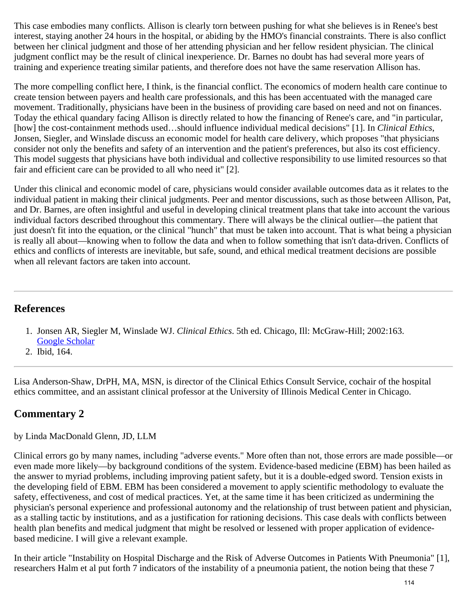This case embodies many conflicts. Allison is clearly torn between pushing for what she believes is in Renee's best interest, staying another 24 hours in the hospital, or abiding by the HMO's financial constraints. There is also conflict between her clinical judgment and those of her attending physician and her fellow resident physician. The clinical judgment conflict may be the result of clinical inexperience. Dr. Barnes no doubt has had several more years of training and experience treating similar patients, and therefore does not have the same reservation Allison has.

The more compelling conflict here, I think, is the financial conflict. The economics of modern health care continue to create tension between payers and health care professionals, and this has been accentuated with the managed care movement. Traditionally, physicians have been in the business of providing care based on need and not on finances. Today the ethical quandary facing Allison is directly related to how the financing of Renee's care, and "in particular, [how] the cost-containment methods used…should influence individual medical decisions" [1]. In *Clinical Ethics*, Jonsen, Siegler, and Winslade discuss an economic model for health care delivery, which proposes "that physicians consider not only the benefits and safety of an intervention and the patient's preferences, but also its cost efficiency. This model suggests that physicians have both individual and collective responsibility to use limited resources so that fair and efficient care can be provided to all who need it" [2].

Under this clinical and economic model of care, physicians would consider available outcomes data as it relates to the individual patient in making their clinical judgments. Peer and mentor discussions, such as those between Allison, Pat, and Dr. Barnes, are often insightful and useful in developing clinical treatment plans that take into account the various individual factors described throughout this commentary. There will always be the clinical outlier—the patient that just doesn't fit into the equation, or the clinical "hunch" that must be taken into account. That is what being a physician is really all about—knowing when to follow the data and when to follow something that isn't data-driven. Conflicts of ethics and conflicts of interests are inevitable, but safe, sound, and ethical medical treatment decisions are possible when all relevant factors are taken into account.

#### **References**

- 1. Jonsen AR, Siegler M, Winslade WJ. *Clinical Ethics*. 5th ed. Chicago, Ill: McGraw-Hill; 2002:163. [Google Scholar](https://scholar.google.com/scholar_lookup?title=Clinical%20Ethics&author=Jonsen%20AR,%20Siegler%20M,%20Winslade%20WJ.&publication_year=2002)
- 2. Ibid, 164.

Lisa Anderson-Shaw, DrPH, MA, MSN, is director of the Clinical Ethics Consult Service, cochair of the hospital ethics committee, and an assistant clinical professor at the University of Illinois Medical Center in Chicago.

## **Commentary 2**

by Linda MacDonald Glenn, JD, LLM

Clinical errors go by many names, including "adverse events." More often than not, those errors are made possible—or even made more likely—by background conditions of the system. Evidence-based medicine (EBM) has been hailed as the answer to myriad problems, including improving patient safety, but it is a double-edged sword. Tension exists in the developing field of EBM. EBM has been considered a movement to apply scientific methodology to evaluate the safety, effectiveness, and cost of medical practices. Yet, at the same time it has been criticized as undermining the physician's personal experience and professional autonomy and the relationship of trust between patient and physician, as a stalling tactic by institutions, and as a justification for rationing decisions. This case deals with conflicts between health plan benefits and medical judgment that might be resolved or lessened with proper application of evidencebased medicine. I will give a relevant example.

In their article "Instability on Hospital Discharge and the Risk of Adverse Outcomes in Patients With Pneumonia" [1], researchers Halm et al put forth 7 indicators of the instability of a pneumonia patient, the notion being that these 7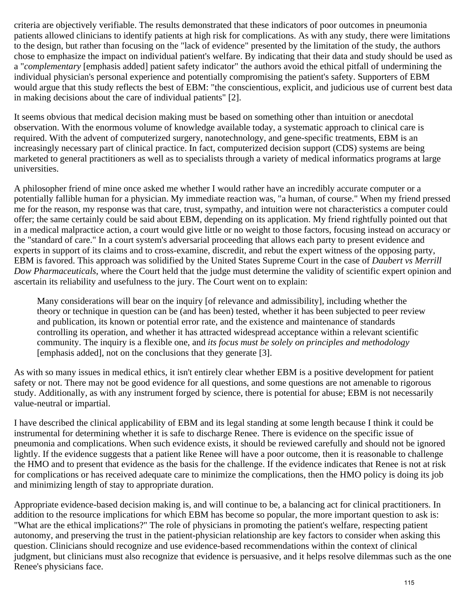criteria are objectively verifiable. The results demonstrated that these indicators of poor outcomes in pneumonia patients allowed clinicians to identify patients at high risk for complications. As with any study, there were limitations to the design, but rather than focusing on the "lack of evidence" presented by the limitation of the study, the authors chose to emphasize the impact on individual patient's welfare. By indicating that their data and study should be used as a "*complementary* [emphasis added] patient safety indicator" the authors avoid the ethical pitfall of undermining the individual physician's personal experience and potentially compromising the patient's safety. Supporters of EBM would argue that this study reflects the best of EBM: "the conscientious, explicit, and judicious use of current best data in making decisions about the care of individual patients" [2].

It seems obvious that medical decision making must be based on something other than intuition or anecdotal observation. With the enormous volume of knowledge available today, a systematic approach to clinical care is required. With the advent of computerized surgery, nanotechnology, and gene-specific treatments, EBM is an increasingly necessary part of clinical practice. In fact, computerized decision support (CDS) systems are being marketed to general practitioners as well as to specialists through a variety of medical informatics programs at large universities.

A philosopher friend of mine once asked me whether I would rather have an incredibly accurate computer or a potentially fallible human for a physician. My immediate reaction was, "a human, of course." When my friend pressed me for the reason, my response was that care, trust, sympathy, and intuition were not characteristics a computer could offer; the same certainly could be said about EBM, depending on its application. My friend rightfully pointed out that in a medical malpractice action, a court would give little or no weight to those factors, focusing instead on accuracy or the "standard of care." In a court system's adversarial proceeding that allows each party to present evidence and experts in support of its claims and to cross-examine, discredit, and rebut the expert witness of the opposing party, EBM is favored. This approach was solidified by the United States Supreme Court in the case of *Daubert vs Merrill Dow Pharmaceuticals*, where the Court held that the judge must determine the validity of scientific expert opinion and ascertain its reliability and usefulness to the jury. The Court went on to explain:

Many considerations will bear on the inquiry [of relevance and admissibility], including whether the theory or technique in question can be (and has been) tested, whether it has been subjected to peer review and publication, its known or potential error rate, and the existence and maintenance of standards controlling its operation, and whether it has attracted widespread acceptance within a relevant scientific community. The inquiry is a flexible one, and *its focus must be solely on principles and methodology* [emphasis added], not on the conclusions that they generate [3].

As with so many issues in medical ethics, it isn't entirely clear whether EBM is a positive development for patient safety or not. There may not be good evidence for all questions, and some questions are not amenable to rigorous study. Additionally, as with any instrument forged by science, there is potential for abuse; EBM is not necessarily value-neutral or impartial.

I have described the clinical applicability of EBM and its legal standing at some length because I think it could be instrumental for determining whether it is safe to discharge Renee. There is evidence on the specific issue of pneumonia and complications. When such evidence exists, it should be reviewed carefully and should not be ignored lightly. If the evidence suggests that a patient like Renee will have a poor outcome, then it is reasonable to challenge the HMO and to present that evidence as the basis for the challenge. If the evidence indicates that Renee is not at risk for complications or has received adequate care to minimize the complications, then the HMO policy is doing its job and minimizing length of stay to appropriate duration.

Appropriate evidence-based decision making is, and will continue to be, a balancing act for clinical practitioners. In addition to the resource implications for which EBM has become so popular, the more important question to ask is: "What are the ethical implications?" The role of physicians in promoting the patient's welfare, respecting patient autonomy, and preserving the trust in the patient-physician relationship are key factors to consider when asking this question. Clinicians should recognize and use evidence-based recommendations within the context of clinical judgment, but clinicians must also recognize that evidence is persuasive, and it helps resolve dilemmas such as the one Renee's physicians face.